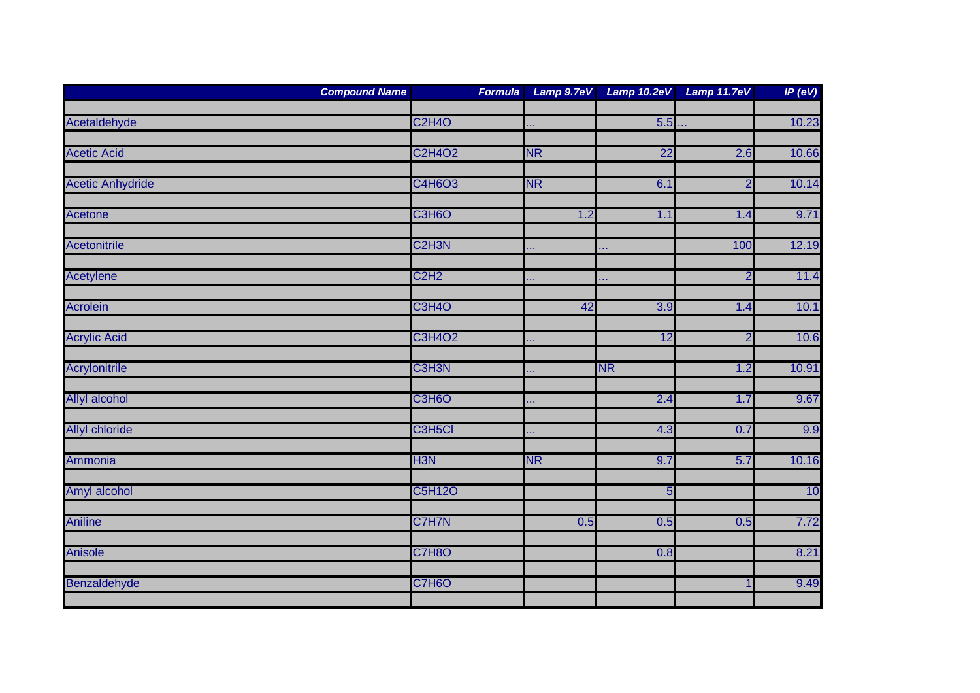|                         | <b>Compound Name</b><br><b>Formula</b> | Lamp 9.7eV |           | Lamp 10.2eV Lamp 11.7eV | IP (eV) |
|-------------------------|----------------------------------------|------------|-----------|-------------------------|---------|
| Acetaldehyde            | <b>C2H4O</b>                           |            | 5.5       |                         | 10.23   |
|                         |                                        | хv.        |           |                         |         |
| <b>Acetic Acid</b>      | <b>C2H4O2</b>                          | <b>NR</b>  | 22        | 2.6                     | 10.66   |
| <b>Acetic Anhydride</b> | C4H6O3                                 | <b>NR</b>  | 6.1       | $\overline{2}$          | 10.14   |
| Acetone                 | C3H6O                                  | 1.2        | 1.1       | 1.4                     | 9.71    |
| Acetonitrile            | C <sub>2</sub> H <sub>3N</sub>         | Щ,         | Ш,        | 100                     | 12.19   |
|                         |                                        |            |           |                         |         |
| <b>Acetylene</b>        | C <sub>2</sub> H <sub>2</sub>          | òч.        | .         | $\overline{2}$          | 11.4    |
| <b>Acrolein</b>         | <b>C3H4O</b>                           | 42         | 3.9       | 1.4                     | 10.1    |
| <b>Acrylic Acid</b>     | <b>C3H4O2</b>                          | å,         | 12        | $\overline{2}$          | 10.6    |
| Acrylonitrile           | C3H3N                                  | o k        | <b>NR</b> | 1.2                     | 10.91   |
| Allyl alcohol           | C3H6O                                  | å,         | 2.4       | 1.7                     | 9.67    |
| <b>Allyl chloride</b>   | C3H5Cl                                 | a.         | 4.3       | 0.7                     | 9.9     |
| Ammonia                 | H <sub>3N</sub>                        | <b>NR</b>  | 9.7       | 5.7                     | 10.16   |
| Amyl alcohol            | <b>C5H12O</b>                          |            | 5         |                         | 10      |
|                         |                                        |            |           |                         |         |
| <b>Aniline</b>          | C7H7N                                  | 0.5        | 0.5       | 0.5                     | 7.72    |
| <b>Anisole</b>          | <b>C7H8O</b>                           |            | 0.8       |                         | 8.21    |
| Benzaldehyde            | C7H6O                                  |            |           | $\overline{1}$          | 9.49    |
|                         |                                        |            |           |                         |         |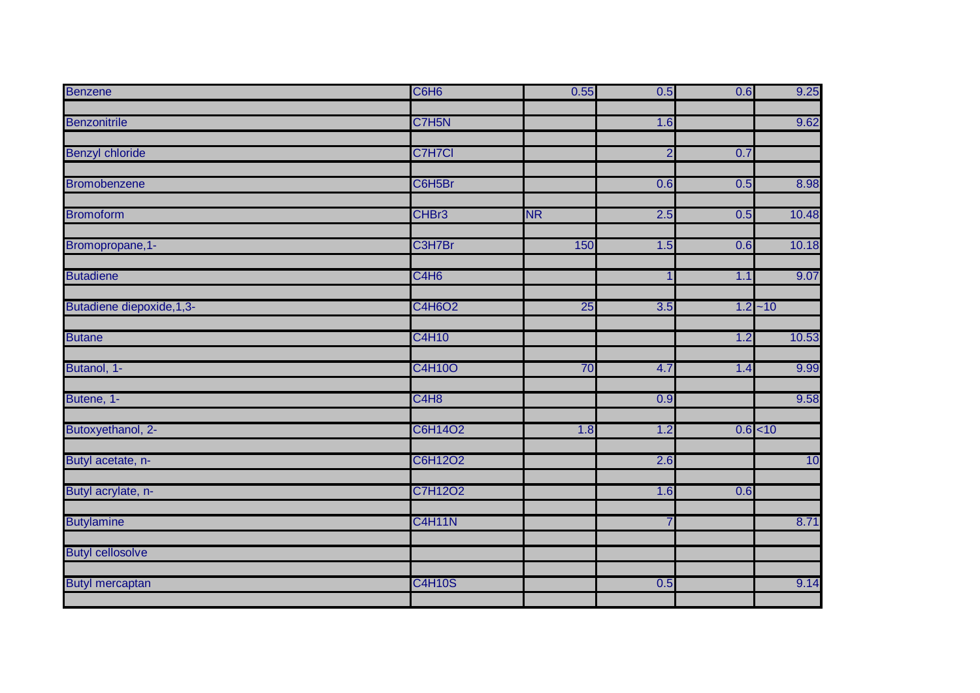| <b>Benzene</b>             | C6H <sub>6</sub>              | 0.55      | 0.5            | 0.6        | 9.25  |
|----------------------------|-------------------------------|-----------|----------------|------------|-------|
|                            |                               |           |                |            |       |
| <b>Benzonitrile</b>        | C7H <sub>5N</sub>             |           | 1.6            |            | 9.62  |
| <b>Benzyl chloride</b>     | C7H7Cl                        |           | $\overline{2}$ | 0.7        |       |
|                            |                               |           |                |            |       |
| <b>Bromobenzene</b>        | C6H5Br                        |           | 0.6            | 0.5        | 8.98  |
| <b>Bromoform</b>           | CHBr3                         | <b>NR</b> | 2.5            | 0.5        | 10.48 |
| Bromopropane, 1-           | C3H7Br                        | 150       | 1.5            | 0.6        | 10.18 |
| <b>Butadiene</b>           | C4H <sub>6</sub>              |           | 1              | 1.1        | 9.07  |
| Butadiene diepoxide, 1, 3- | <b>C4H6O2</b>                 | 25        | 3.5            | $1.2 - 10$ |       |
| <b>Butane</b>              | <b>C4H10</b>                  |           |                | 1.2        | 10.53 |
| Butanol, 1-                | <b>C4H10O</b>                 | 70        | 4.7            | 1.4        | 9.99  |
| Butene, 1-                 | C <sub>4</sub> H <sub>8</sub> |           | 0.9            |            | 9.58  |
| Butoxyethanol, 2-          | C6H14O2                       | 1.8       | 1.2            | $0.6$ < 10 |       |
| Butyl acetate, n-          | C6H12O2                       |           | 2.6            |            | 10    |
| Butyl acrylate, n-         | C7H12O2                       |           | 1.6            | 0.6        |       |
| <b>Butylamine</b>          | <b>C4H11N</b>                 |           | $\overline{7}$ |            | 8.71  |
| <b>Butyl cellosolve</b>    |                               |           |                |            |       |
| <b>Butyl mercaptan</b>     | <b>C4H10S</b>                 |           | 0.5            |            | 9.14  |
|                            |                               |           |                |            |       |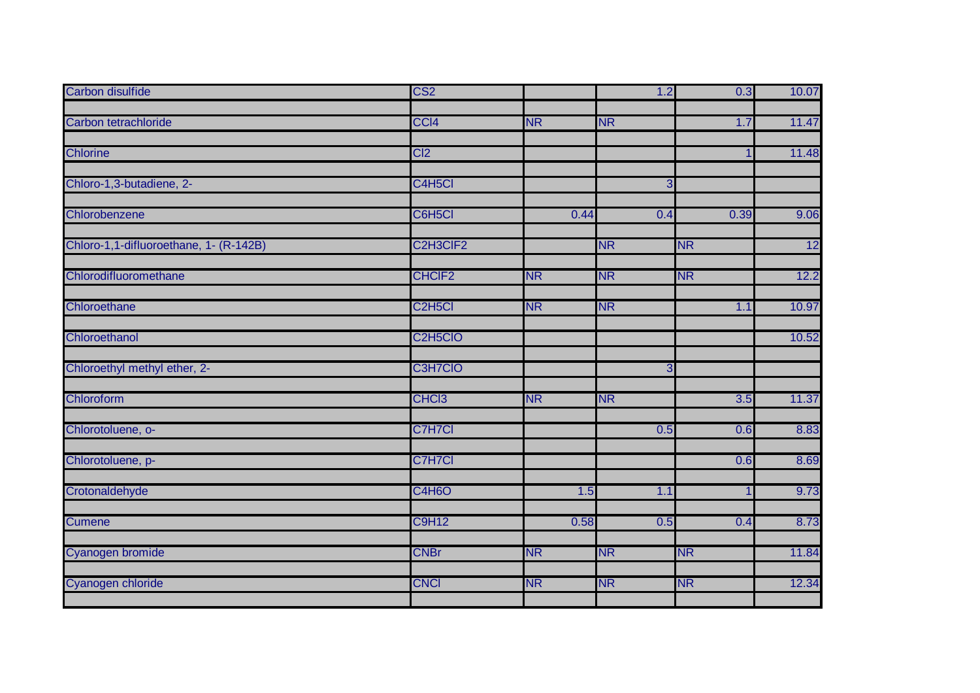| <b>Carbon disulfide</b>                | CS <sub>2</sub>                   |           | 1.2       | 0.3       | 10.07 |
|----------------------------------------|-----------------------------------|-----------|-----------|-----------|-------|
|                                        |                                   |           |           |           |       |
| Carbon tetrachloride                   | CCI <sub>4</sub>                  | <b>NR</b> | <b>NR</b> | 1.7       | 11.47 |
| <b>Chlorine</b>                        | C <sub>12</sub>                   |           |           | 1         |       |
|                                        |                                   |           |           |           | 11.48 |
| Chloro-1,3-butadiene, 2-               | C4H5Cl                            |           | 3         |           |       |
|                                        |                                   |           |           |           |       |
| Chlorobenzene                          | C6H5Cl                            | 0.44      | 0.4       | 0.39      | 9.06  |
|                                        |                                   |           |           |           |       |
| Chloro-1,1-difluoroethane, 1- (R-142B) | C2H3CIF2                          |           | <b>NR</b> | <b>NR</b> | 12    |
| Chlorodifluoromethane                  | <b>CHCIF2</b>                     | <b>NR</b> | <b>NR</b> | <b>NR</b> | 12.2  |
|                                        |                                   |           |           |           |       |
| Chloroethane                           | C <sub>2</sub> H <sub>5</sub> Cl  | <b>NR</b> | <b>NR</b> | 1.1       | 10.97 |
| Chloroethanol                          | C <sub>2</sub> H <sub>5</sub> CIO |           |           |           | 10.52 |
|                                        |                                   |           |           |           |       |
| Chloroethyl methyl ether, 2-           | C3H7CIO                           |           | 3         |           |       |
|                                        |                                   |           |           |           |       |
| Chloroform                             | CHC <sub>13</sub>                 | <b>NR</b> | <b>NR</b> | 3.5       | 11.37 |
| Chlorotoluene, o-                      | C7H7Cl                            |           | 0.5       | 0.6       | 8.83  |
|                                        |                                   |           |           |           |       |
| Chlorotoluene, p-                      | C7H7Cl                            |           |           | 0.6       | 8.69  |
| Crotonaldehyde                         | C4H6O                             | 1.5       | 1.1       | 1         | 9.73  |
|                                        |                                   |           |           |           |       |
| <b>Cumene</b>                          | <b>C9H12</b>                      | 0.58      | 0.5       | 0.4       | 8.73  |
| Cyanogen bromide                       | <b>CNBr</b>                       | <b>NR</b> | <b>NR</b> | <b>NR</b> | 11.84 |
|                                        |                                   |           |           |           |       |
| Cyanogen chloride                      | <b>CNCI</b>                       | <b>NR</b> | <b>NR</b> | <b>NR</b> | 12.34 |
|                                        |                                   |           |           |           |       |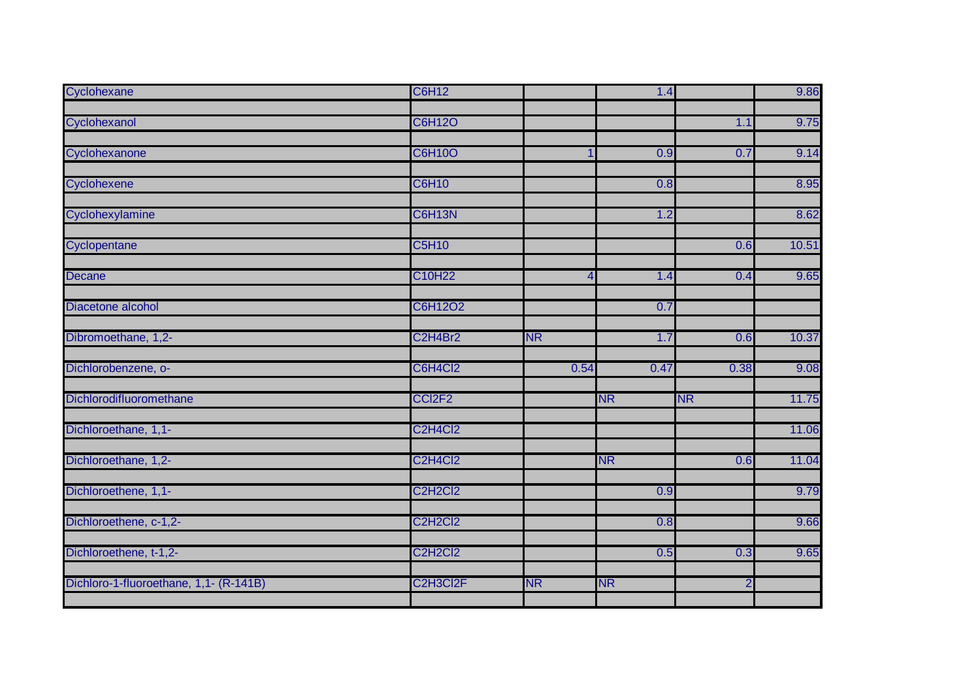| Cyclohexane                            | <b>C6H12</b>                                  |                | 1.4       |                | 9.86  |
|----------------------------------------|-----------------------------------------------|----------------|-----------|----------------|-------|
|                                        |                                               |                |           |                |       |
| Cyclohexanol                           | <b>C6H12O</b>                                 |                |           | 1.1            | 9.75  |
| Cyclohexanone                          | <b>C6H10O</b>                                 |                | 0.9       | 0.7            | 9.14  |
|                                        |                                               |                |           |                |       |
| Cyclohexene                            | <b>C6H10</b>                                  |                | 0.8       |                | 8.95  |
| Cyclohexylamine                        | C6H13N                                        |                | 1.2       |                | 8.62  |
| Cyclopentane                           | <b>C5H10</b>                                  |                |           | 0.6            | 10.51 |
| <b>Decane</b>                          | C10H22                                        | $\overline{4}$ | 1.4       | 0.4            | 9.65  |
| Diacetone alcohol                      | C6H12O2                                       |                | 0.7       |                |       |
| Dibromoethane, 1,2-                    | C2H4Br2                                       | <b>NR</b>      | 1.7       | 0.6            | 10.37 |
| Dichlorobenzene, o-                    | C6H4Cl2                                       | 0.54           | 0.47      | 0.38           | 9.08  |
| Dichlorodifluoromethane                | CCI <sub>2F2</sub>                            |                | <b>NR</b> | <b>NR</b>      | 11.75 |
| Dichloroethane, 1,1-                   | C <sub>2</sub> H <sub>4</sub> C <sub>12</sub> |                |           |                | 11.06 |
| Dichloroethane, 1,2-                   | C <sub>2</sub> H <sub>4</sub> C <sub>12</sub> |                | <b>NR</b> | 0.6            | 11.04 |
| Dichloroethene, 1,1-                   | <b>C2H2Cl2</b>                                |                | 0.9       |                | 9.79  |
| Dichloroethene, c-1,2-                 | C <sub>2</sub> H <sub>2</sub> C <sub>12</sub> |                | 0.8       |                | 9.66  |
| Dichloroethene, t-1,2-                 | <b>C2H2Cl2</b>                                |                | 0.5       | 0.3            | 9.65  |
| Dichloro-1-fluoroethane, 1,1- (R-141B) | C2H3Cl2F                                      | <b>NR</b>      | <b>NR</b> | $\overline{2}$ |       |
|                                        |                                               |                |           |                |       |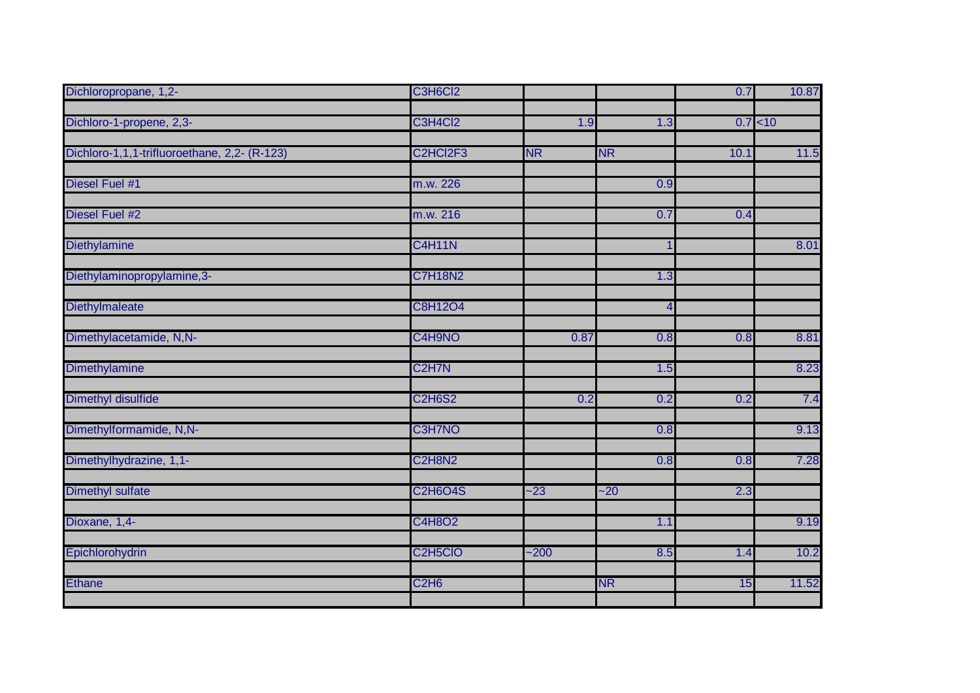| Dichloropropane, 1,2-                        | C3H6Cl2                           |           |           | 0.7  | 10.87    |
|----------------------------------------------|-----------------------------------|-----------|-----------|------|----------|
|                                              |                                   |           |           |      |          |
| Dichloro-1-propene, 2,3-                     | C3H4Cl2                           | 1.9       | 1.3       |      | 0.7 < 10 |
| Dichloro-1,1,1-trifluoroethane, 2,2- (R-123) | C2HCl2F3                          | <b>NR</b> | <b>NR</b> | 10.1 |          |
|                                              |                                   |           |           |      | 11.5     |
| Diesel Fuel #1                               | m.w. 226                          |           | 0.9       |      |          |
|                                              |                                   |           |           |      |          |
| Diesel Fuel #2                               | m.w. 216                          |           | 0.7       | 0.4  |          |
|                                              |                                   |           |           |      |          |
| Diethylamine                                 | <b>C4H11N</b>                     |           |           |      | 8.01     |
| Diethylaminopropylamine, 3-                  | <b>C7H18N2</b>                    |           | 1.3       |      |          |
|                                              |                                   |           |           |      |          |
| Diethylmaleate                               | C8H12O4                           |           | Δ         |      |          |
|                                              |                                   |           |           |      |          |
| Dimethylacetamide, N,N-                      | C4H9NO                            | 0.87      | 0.8       | 0.8  | 8.81     |
| Dimethylamine                                | C <sub>2</sub> H <sub>7</sub> N   |           | 1.5       |      | 8.23     |
|                                              |                                   |           |           |      |          |
| Dimethyl disulfide                           | <b>C2H6S2</b>                     | 0.2       | 0.2       | 0.2  | 7.4      |
| Dimethylformamide, N,N-                      | C3H7NO                            |           | 0.8       |      | 9.13     |
|                                              |                                   |           |           |      |          |
| Dimethylhydrazine, 1,1-                      | C2H8N2                            |           | 0.8       | 0.8  | 7.28     |
|                                              |                                   |           |           |      |          |
| Dimethyl sulfate                             | <b>C2H6O4S</b>                    | $-23$     | $-20$     | 2.3  |          |
|                                              | C4H8O2                            |           |           |      |          |
| Dioxane, 1,4-                                |                                   |           | 1.1       |      | 9.19     |
| Epichlorohydrin                              | C <sub>2</sub> H <sub>5</sub> CIO | $-200$    | 8.5       | 1.4  | 10.2     |
|                                              |                                   |           |           |      |          |
| <b>Ethane</b>                                | C <sub>2</sub> H <sub>6</sub>     |           | <b>NR</b> | 15   | 11.52    |
|                                              |                                   |           |           |      |          |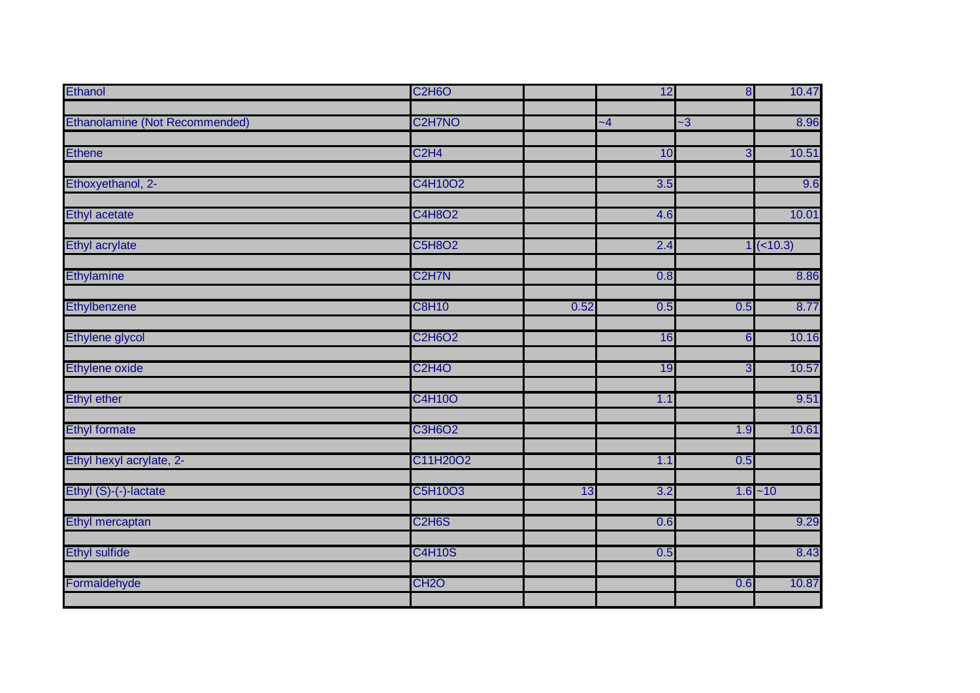| <b>Ethanol</b>                 | <b>C2H6O</b>                     |      | 12   | 8              | 10.47      |
|--------------------------------|----------------------------------|------|------|----------------|------------|
|                                |                                  |      |      |                |            |
| Ethanolamine (Not Recommended) | C <sub>2</sub> H <sub>7</sub> NO |      | $-4$ | $-3$           | 8.96       |
|                                |                                  |      |      |                |            |
| <b>Ethene</b>                  | C <sub>2</sub> H <sub>4</sub>    |      | 10   | $\overline{3}$ | 10.51      |
| Ethoxyethanol, 2-              | C4H10O2                          |      | 3.5  |                | 9.6        |
| <b>Ethyl acetate</b>           | C4H8O2                           |      | 4.6  |                | 10.01      |
|                                |                                  |      |      |                |            |
| <b>Ethyl acrylate</b>          | <b>C5H8O2</b>                    |      | 2.4  |                | $1(-10.3)$ |
| Ethylamine                     | C <sub>2</sub> H <sub>7</sub> N  |      | 0.8  |                | 8.86       |
| Ethylbenzene                   | <b>C8H10</b>                     | 0.52 | 0.5  | 0.5            | 8.77       |
| <b>Ethylene glycol</b>         | <b>C2H6O2</b>                    |      | 16   | 6              | 10.16      |
|                                |                                  |      |      |                |            |
| Ethylene oxide                 | <b>C2H4O</b>                     |      | 19   | $\overline{3}$ | 10.57      |
| <b>Ethyl ether</b>             | <b>C4H10O</b>                    |      | 1.1  |                | 9.51       |
| <b>Ethyl formate</b>           | <b>C3H6O2</b>                    |      |      | 1.9            | 10.61      |
| Ethyl hexyl acrylate, 2-       | C11H20O2                         |      | 1.1  | 0.5            |            |
| Ethyl (S)-(-)-lactate          | C5H10O3                          | 13   | 3.2  |                | $1.6 - 10$ |
|                                |                                  |      |      |                |            |
| Ethyl mercaptan                | C <sub>2</sub> H <sub>6</sub> S  |      | 0.6  |                | 9.29       |
| <b>Ethyl sulfide</b>           | <b>C4H10S</b>                    |      | 0.5  |                | 8.43       |
| Formaldehyde                   | CH <sub>2</sub> O                |      |      | 0.6            | 10.87      |
|                                |                                  |      |      |                |            |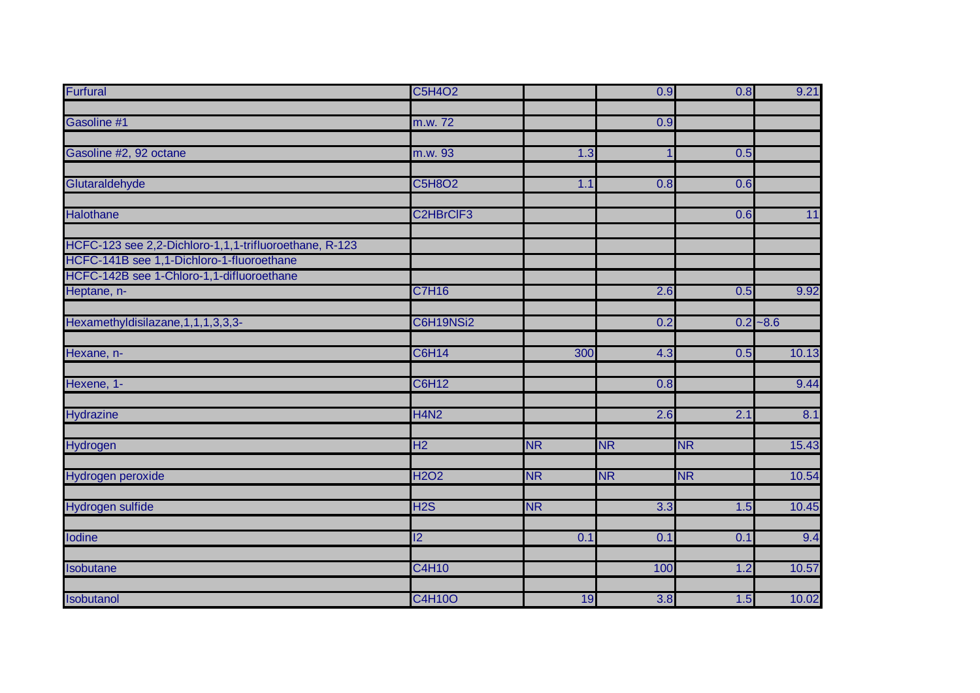| <b>Furfural</b>                                        | <b>C5H4O2</b>    |           | 0.9       | 0.8       | 9.21        |
|--------------------------------------------------------|------------------|-----------|-----------|-----------|-------------|
|                                                        |                  |           |           |           |             |
| Gasoline #1                                            | m.w. 72          |           | 0.9       |           |             |
|                                                        |                  |           |           |           |             |
| Gasoline #2, 92 octane                                 | m.w. 93          | 1.3       |           | 0.5       |             |
| Glutaraldehyde                                         | <b>C5H8O2</b>    | 1.1       | 0.8       | 0.6       |             |
|                                                        |                  |           |           |           |             |
| Halothane                                              | C2HBrCIF3        |           |           | 0.6       | 11          |
| HCFC-123 see 2,2-Dichloro-1,1,1-trifluoroethane, R-123 |                  |           |           |           |             |
| HCFC-141B see 1,1-Dichloro-1-fluoroethane              |                  |           |           |           |             |
| HCFC-142B see 1-Chloro-1,1-difluoroethane              |                  |           |           |           |             |
| Heptane, n-                                            | <b>C7H16</b>     |           | 2.6       | 0.5       | 9.92        |
| Hexamethyldisilazane, 1, 1, 1, 3, 3, 3-                | C6H19NSi2        |           | 0.2       |           | $0.2 - 8.6$ |
| Hexane, n-                                             | <b>C6H14</b>     | 300       | 4.3       | 0.5       | 10.13       |
|                                                        |                  |           |           |           |             |
| Hexene, 1-                                             | C6H12            |           | 0.8       |           | 9.44        |
| Hydrazine                                              | <b>H4N2</b>      |           | 2.6       | 2.1       | 8.1         |
|                                                        |                  |           |           |           |             |
| Hydrogen                                               | H <sub>2</sub>   | <b>NR</b> | <b>NR</b> | <b>NR</b> | 15.43       |
| Hydrogen peroxide                                      | <b>H2O2</b>      | <b>NR</b> | <b>NR</b> | <b>NR</b> | 10.54       |
| Hydrogen sulfide                                       | H <sub>2</sub> S | <b>NR</b> | 3.3       | 1.5       | 10.45       |
|                                                        |                  |           |           |           |             |
| <b>lodine</b>                                          | $\overline{2}$   | 0.1       | 0.1       | 0.1       | 9.4         |
| Isobutane                                              | <b>C4H10</b>     |           | 100       | 1.2       | 10.57       |
|                                                        |                  |           |           |           |             |
| Isobutanol                                             | <b>C4H10O</b>    | 19        | 3.8       | 1.5       | 10.02       |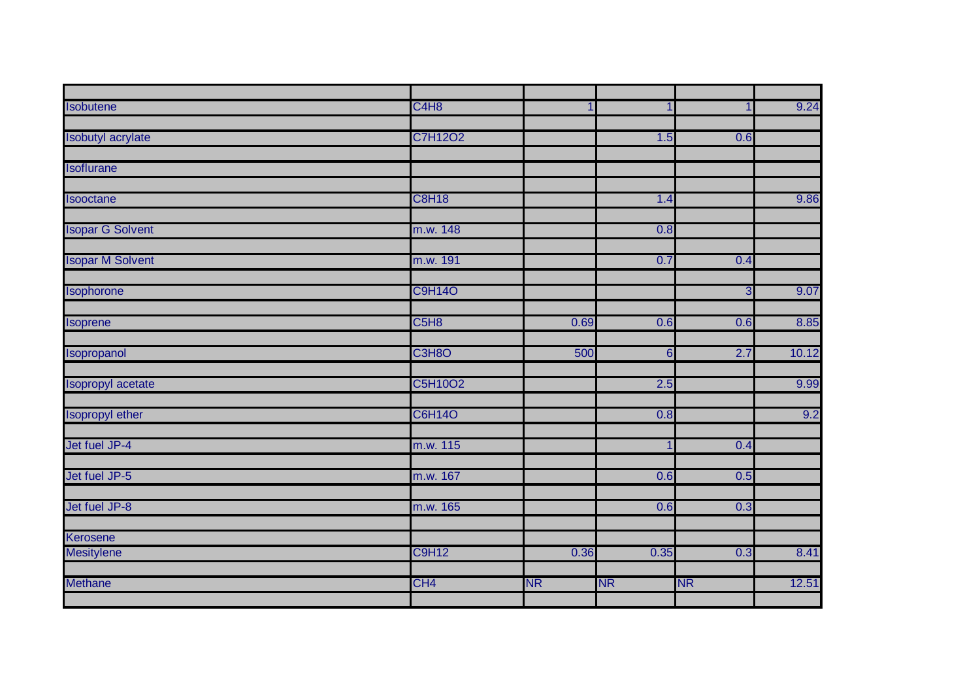| <b>Isobutene</b>         | C <sub>4</sub> H <sub>8</sub> | 1         |                |              | 9.24  |
|--------------------------|-------------------------------|-----------|----------------|--------------|-------|
|                          |                               |           |                |              |       |
| Isobutyl acrylate        | C7H12O2                       |           | 1.5            | 0.6          |       |
|                          |                               |           |                |              |       |
| <b>Isoflurane</b>        |                               |           |                |              |       |
|                          |                               |           |                |              |       |
| <b>Isooctane</b>         | <b>C8H18</b>                  |           | 1.4            |              | 9.86  |
|                          |                               |           |                |              |       |
| <b>Isopar G Solvent</b>  | m.w. 148                      |           | 0.8            |              |       |
|                          |                               |           |                |              |       |
| <b>Isopar M Solvent</b>  | m.w. 191                      |           | 0.7            | 0.4          |       |
|                          | <b>C9H14O</b>                 |           |                | $\mathbf{3}$ | 9.07  |
| Isophorone               |                               |           |                |              |       |
| Isoprene                 | C <sub>5</sub> H <sub>8</sub> | 0.69      | 0.6            | 0.6          | 8.85  |
|                          |                               |           |                |              |       |
| Isopropanol              | C3H8O                         | 500       | 6              | 2.7          | 10.12 |
|                          |                               |           |                |              |       |
| <b>Isopropyl acetate</b> | C5H10O2                       |           | 2.5            |              | 9.99  |
|                          |                               |           |                |              |       |
| Isopropyl ether          | <b>C6H14O</b>                 |           | 0.8            |              | 9.2   |
|                          |                               |           |                |              |       |
| Jet fuel JP-4            | m.w. 115                      |           | $\overline{1}$ | 0.4          |       |
|                          |                               |           |                |              |       |
| Jet fuel JP-5            | m.w. 167                      |           | 0.6            | 0.5          |       |
|                          |                               |           |                |              |       |
| Jet fuel JP-8            | m.w. 165                      |           | 0.6            | 0.3          |       |
|                          |                               |           |                |              |       |
| Kerosene                 |                               |           |                |              |       |
| <b>Mesitylene</b>        | <b>C9H12</b>                  | 0.36      | 0.35           | 0.3          | 8.41  |
|                          |                               |           |                |              |       |
| <b>Methane</b>           | CH <sub>4</sub>               | <b>NR</b> | <b>NR</b>      | <b>NR</b>    | 12.51 |
|                          |                               |           |                |              |       |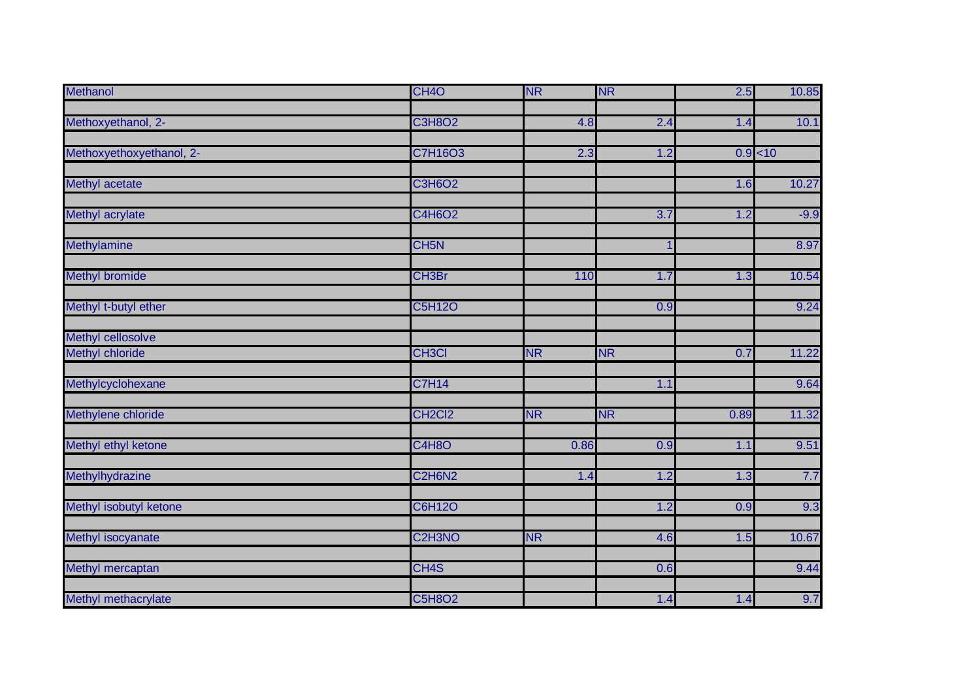| Methanol                 | CH <sub>4</sub> O                            | <b>NR</b> | <b>NR</b> | 2.5      | 10.85  |
|--------------------------|----------------------------------------------|-----------|-----------|----------|--------|
|                          |                                              |           |           |          |        |
| Methoxyethanol, 2-       | <b>C3H8O2</b>                                | 4.8       | 2.4       | 1.4      | 10.1   |
| Methoxyethoxyethanol, 2- | <b>C7H16O3</b>                               | 2.3       | 1.2       | 0.9 < 10 |        |
|                          |                                              |           |           |          |        |
| <b>Methyl acetate</b>    | <b>C3H6O2</b>                                |           |           | 1.6      | 10.27  |
| Methyl acrylate          | C4H6O2                                       |           | 3.7       | 1.2      | $-9.9$ |
| Methylamine              | CH <sub>5N</sub>                             |           |           |          | 8.97   |
| <b>Methyl bromide</b>    | CH <sub>3</sub> Br                           | 110       | 1.7       | 1.3      | 10.54  |
| Methyl t-butyl ether     | <b>C5H12O</b>                                |           | 0.9       |          | 9.24   |
| Methyl cellosolve        |                                              |           |           |          |        |
| Methyl chloride          | <b>CH3CI</b>                                 | <b>NR</b> | <b>NR</b> | 0.7      | 11.22  |
| Methylcyclohexane        | <b>C7H14</b>                                 |           | 1.1       |          | 9.64   |
| Methylene chloride       | CH <sub>2</sub> Cl <sub>2</sub>              | <b>NR</b> | <b>NR</b> | 0.89     | 11.32  |
| Methyl ethyl ketone      | <b>C4H8O</b>                                 | 0.86      | 0.9       | 1.1      | 9.51   |
| Methylhydrazine          | C <sub>2</sub> H <sub>6</sub> N <sub>2</sub> | 1.4       | 1.2       | 1.3      | 7.7    |
| Methyl isobutyl ketone   | <b>C6H12O</b>                                |           | 1.2       | 0.9      | 9.3    |
| Methyl isocyanate        | C <sub>2</sub> H <sub>3</sub> NO             | <b>NR</b> | 4.6       | 1.5      | 10.67  |
| Methyl mercaptan         | CH <sub>4</sub> S                            |           | 0.6       |          | 9.44   |
| Methyl methacrylate      | <b>C5H8O2</b>                                |           | 1.4       | 1.4      | 9.7    |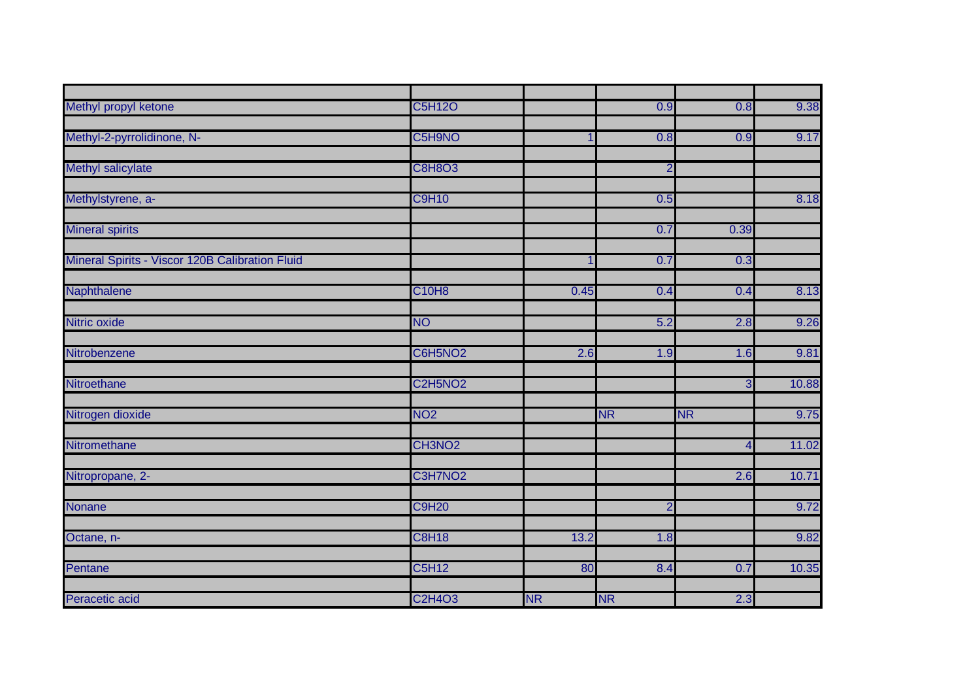| Methyl propyl ketone                            | C5H12O              |           | 0.9            | 0.8       | 9.38  |
|-------------------------------------------------|---------------------|-----------|----------------|-----------|-------|
| Methyl-2-pyrrolidinone, N-                      | C5H9NO              |           | 0.8            | 0.9       | 9.17  |
| Methyl salicylate                               | <b>C8H8O3</b>       |           | $\overline{2}$ |           |       |
| Methylstyrene, a-                               | <b>C9H10</b>        |           | 0.5            |           | 8.18  |
| <b>Mineral spirits</b>                          |                     |           | 0.7            | 0.39      |       |
| Mineral Spirits - Viscor 120B Calibration Fluid |                     |           | 0.7            | 0.3       |       |
| Naphthalene                                     | <b>C10H8</b>        | 0.45      | 0.4            | 0.4       | 8.13  |
| Nitric oxide                                    | <b>NO</b>           |           | 5.2            | 2.8       | 9.26  |
| Nitrobenzene                                    | C6H5NO <sub>2</sub> | 2.6       | 1.9            | 1.6       | 9.81  |
| Nitroethane                                     | C2H5NO <sub>2</sub> |           |                | ω         | 10.88 |
| Nitrogen dioxide                                | NO <sub>2</sub>     |           | <b>NR</b>      | <b>NR</b> | 9.75  |
| Nitromethane                                    | CH3NO <sub>2</sub>  |           |                | 4         | 11.02 |
| Nitropropane, 2-                                | C3H7NO <sub>2</sub> |           |                | 2.6       | 10.71 |
| Nonane                                          | <b>C9H20</b>        |           | $\overline{2}$ |           | 9.72  |
| Octane, n-                                      | <b>C8H18</b>        | 13.2      | 1.8            |           | 9.82  |
| Pentane                                         | <b>C5H12</b>        | 80        | 8.4            | 0.7       | 10.35 |
| Peracetic acid                                  | <b>C2H4O3</b>       | <b>NR</b> | <b>NR</b>      | 2.3       |       |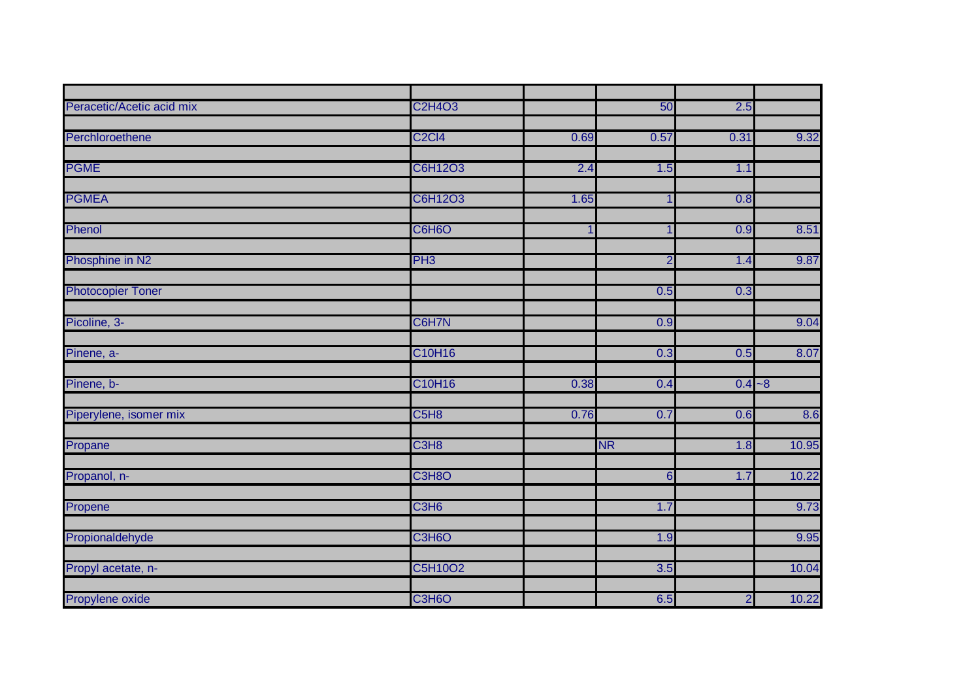| Peracetic/Acetic acid mix | <b>C2H4O3</b>                 |      | 50             | 2.5            |       |
|---------------------------|-------------------------------|------|----------------|----------------|-------|
|                           |                               |      |                |                |       |
| Perchloroethene           | <b>C2Cl4</b>                  | 0.69 | 0.57           | 0.31           | 9.32  |
|                           | C6H12O3                       | 2.4  | 1.5            | 1.1            |       |
| <b>PGME</b>               |                               |      |                |                |       |
| <b>PGMEA</b>              | C6H12O3                       | 1.65 |                | 0.8            |       |
|                           |                               |      |                |                |       |
| Phenol                    | C6H6O                         |      |                | 0.9            | 8.51  |
|                           |                               |      |                |                |       |
| Phosphine in N2           | PH <sub>3</sub>               |      | $\overline{2}$ | 1.4            | 9.87  |
|                           |                               |      |                |                |       |
| <b>Photocopier Toner</b>  |                               |      | 0.5            | 0.3            |       |
| Picoline, 3-              | C6H7N                         |      | 0.9            |                | 9.04  |
|                           |                               |      |                |                |       |
| Pinene, a-                | C10H16                        |      | 0.3            | 0.5            | 8.07  |
|                           |                               |      |                |                |       |
| Pinene, b-                | C10H16                        | 0.38 | 0.4            | $0.4 - 8$      |       |
| Piperylene, isomer mix    | C <sub>5</sub> H <sub>8</sub> | 0.76 | 0.7            | 0.6            | 8.6   |
|                           |                               |      |                |                |       |
| Propane                   | C <sub>3</sub> H <sub>8</sub> |      | <b>NR</b>      | 1.8            | 10.95 |
|                           |                               |      |                |                |       |
| Propanol, n-              | C3H8O                         |      | 6              | 1.7            | 10.22 |
|                           |                               |      |                |                |       |
| Propene                   | C <sub>3</sub> H <sub>6</sub> |      | 1.7            |                | 9.73  |
| Propionaldehyde           | C3H6O                         |      | 1.9            |                | 9.95  |
|                           |                               |      |                |                |       |
| Propyl acetate, n-        | C5H10O2                       |      | 3.5            |                | 10.04 |
|                           |                               |      |                |                |       |
| Propylene oxide           | C3H6O                         |      | 6.5            | $\overline{2}$ | 10.22 |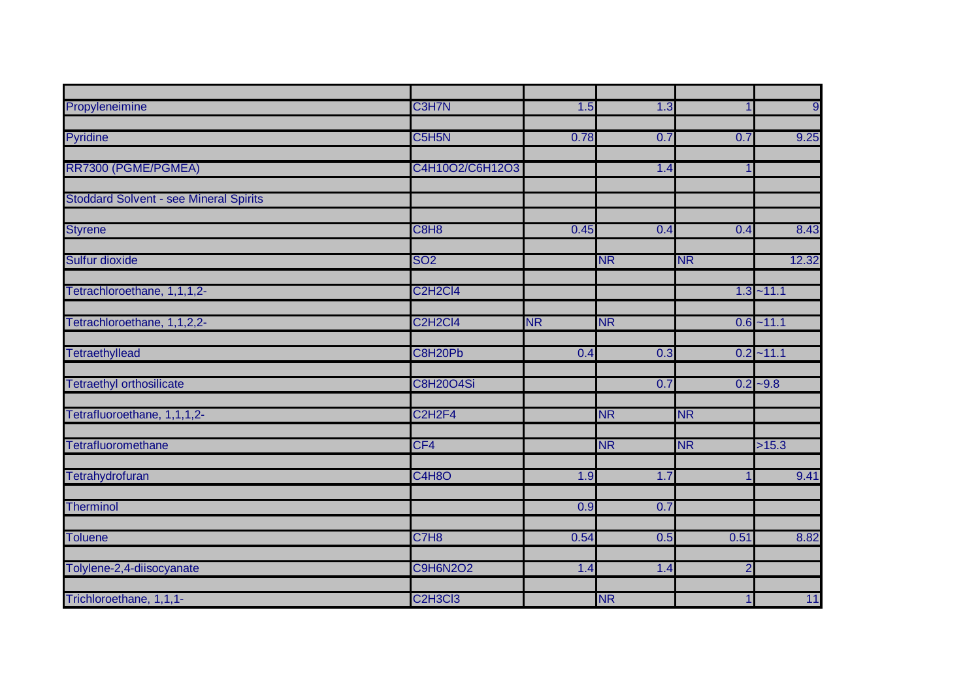| Propyleneimine                                | C3H7N                                         | 1.5       | 1.3       |                | $\overline{9}$ |
|-----------------------------------------------|-----------------------------------------------|-----------|-----------|----------------|----------------|
|                                               |                                               |           |           |                |                |
| Pyridine                                      | C5H5N                                         | 0.78      | 0.7       | 0.7            | 9.25           |
|                                               | C4H10O2/C6H12O3                               |           |           |                |                |
| RR7300 (PGME/PGMEA)                           |                                               |           | 1.4       |                |                |
| <b>Stoddard Solvent - see Mineral Spirits</b> |                                               |           |           |                |                |
|                                               |                                               |           |           |                |                |
| <b>Styrene</b>                                | C8H8                                          | 0.45      | 0.4       | 0.4            | 8.43           |
|                                               |                                               |           |           |                |                |
| Sulfur dioxide                                | <b>SO2</b>                                    |           | <b>NR</b> | <b>NR</b>      | 12.32          |
|                                               |                                               |           |           |                |                |
| Tetrachloroethane, 1,1,1,2-                   | C <sub>2</sub> H <sub>2</sub> Cl <sub>4</sub> |           |           |                | $1.3 - 11.1$   |
|                                               | C <sub>2</sub> H <sub>2</sub> Cl <sub>4</sub> |           |           |                |                |
| Tetrachloroethane, 1,1,2,2-                   |                                               | <b>NR</b> | <b>NR</b> |                | $0.6 - 11.1$   |
| <b>Tetraethyllead</b>                         | C8H20Pb                                       | 0.4       | 0.3       |                | $0.2 - 11.1$   |
|                                               |                                               |           |           |                |                |
| <b>Tetraethyl orthosilicate</b>               | <b>C8H20O4Si</b>                              |           | 0.7       |                | $0.2 - 9.8$    |
|                                               |                                               |           |           |                |                |
| Tetrafluoroethane, 1,1,1,2-                   | C <sub>2</sub> H <sub>2F4</sub>               |           | <b>NR</b> | <b>NR</b>      |                |
|                                               |                                               |           |           |                |                |
| Tetrafluoromethane                            | CF4                                           |           | <b>NR</b> | <b>NR</b>      | >15.3          |
|                                               | C4H8O                                         |           |           |                | 9.41           |
| Tetrahydrofuran                               |                                               | 1.9       | 1.7       |                |                |
| <b>Therminol</b>                              |                                               | 0.9       | 0.7       |                |                |
|                                               |                                               |           |           |                |                |
| <b>Toluene</b>                                | C7H <sub>8</sub>                              | 0.54      | 0.5       | 0.51           | 8.82           |
|                                               |                                               |           |           |                |                |
| Tolylene-2,4-diisocyanate                     | <b>C9H6N2O2</b>                               | 1.4       | 1.4       | $\overline{2}$ |                |
|                                               |                                               |           |           |                |                |
| Trichloroethane, 1,1,1-                       | C <sub>2</sub> H <sub>3</sub> C <sub>13</sub> |           | <b>NR</b> | 1              | 11             |